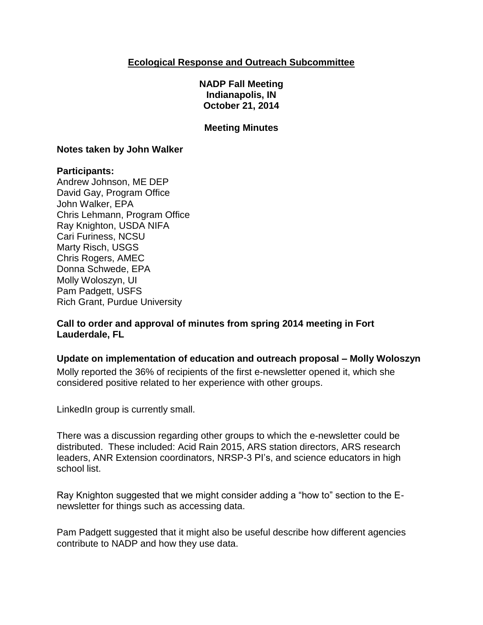## **Ecological Response and Outreach Subcommittee**

**NADP Fall Meeting Indianapolis, IN October 21, 2014**

### **Meeting Minutes**

#### **Notes taken by John Walker**

### **Participants:**

Andrew Johnson, ME DEP David Gay, Program Office John Walker, EPA Chris Lehmann, Program Office Ray Knighton, USDA NIFA Cari Furiness, NCSU Marty Risch, USGS Chris Rogers, AMEC Donna Schwede, EPA Molly Woloszyn, UI Pam Padgett, USFS Rich Grant, Purdue University

**Call to order and approval of minutes from spring 2014 meeting in Fort Lauderdale, FL**

### **Update on implementation of education and outreach proposal – Molly Woloszyn**

Molly reported the 36% of recipients of the first e-newsletter opened it, which she considered positive related to her experience with other groups.

LinkedIn group is currently small.

There was a discussion regarding other groups to which the e-newsletter could be distributed. These included: Acid Rain 2015, ARS station directors, ARS research leaders, ANR Extension coordinators, NRSP-3 PI's, and science educators in high school list.

Ray Knighton suggested that we might consider adding a "how to" section to the Enewsletter for things such as accessing data.

Pam Padgett suggested that it might also be useful describe how different agencies contribute to NADP and how they use data.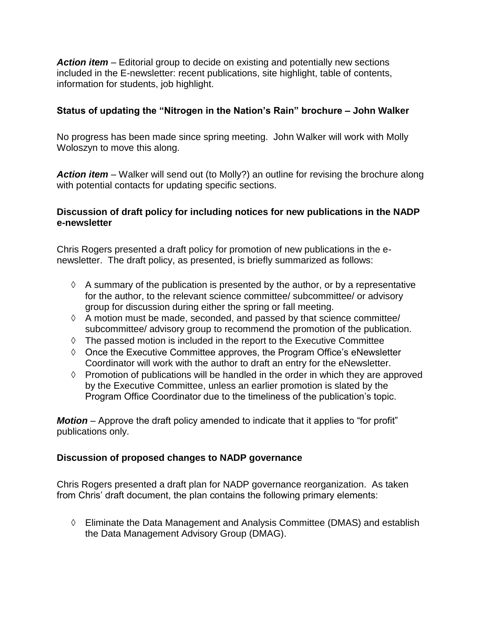*Action item* – Editorial group to decide on existing and potentially new sections included in the E-newsletter: recent publications, site highlight, table of contents, information for students, job highlight.

# **Status of updating the "Nitrogen in the Nation's Rain" brochure – John Walker**

No progress has been made since spring meeting. John Walker will work with Molly Woloszyn to move this along.

*Action item* – Walker will send out (to Molly?) an outline for revising the brochure along with potential contacts for updating specific sections.

## **Discussion of draft policy for including notices for new publications in the NADP e-newsletter**

Chris Rogers presented a draft policy for promotion of new publications in the enewsletter. The draft policy, as presented, is briefly summarized as follows:

- $\Diamond$  A summary of the publication is presented by the author, or by a representative for the author, to the relevant science committee/ subcommittee/ or advisory group for discussion during either the spring or fall meeting.
- $\Diamond$  A motion must be made, seconded, and passed by that science committee/ subcommittee/ advisory group to recommend the promotion of the publication.
- $\Diamond$  The passed motion is included in the report to the Executive Committee
- $\Diamond$  Once the Executive Committee approves, the Program Office's eNewsletter Coordinator will work with the author to draft an entry for the eNewsletter.
- $\Diamond$  Promotion of publications will be handled in the order in which they are approved by the Executive Committee, unless an earlier promotion is slated by the Program Office Coordinator due to the timeliness of the publication's topic.

*Motion* – Approve the draft policy amended to indicate that it applies to "for profit" publications only.

# **Discussion of proposed changes to NADP governance**

Chris Rogers presented a draft plan for NADP governance reorganization. As taken from Chris' draft document, the plan contains the following primary elements:

 Eliminate the Data Management and Analysis Committee (DMAS) and establish the Data Management Advisory Group (DMAG).